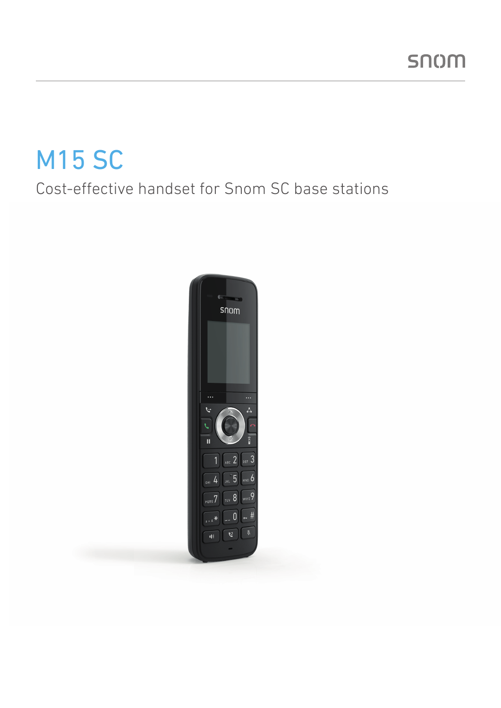# M15 SC

### Cost-effective handset for Snom SC base stations

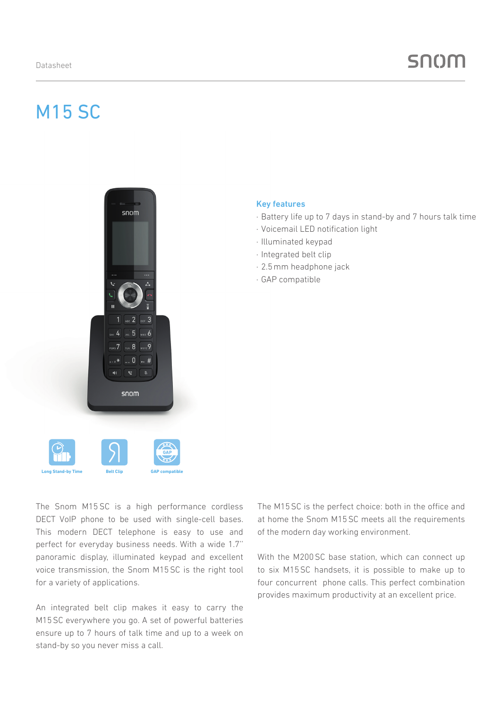### snom

## M15 SC



#### Key features

- · Battery life up to 7 days in stand-by and 7 hours talk time
- · Voicemail LED notification light
- · Illuminated keypad
- · Integrated belt clip
- · 2.5mm headphone jack
- · GAP compatible

The Snom M15 SC is a high performance cordless DECT VoIP phone to be used with single-cell bases. This modern DECT telephone is easy to use and perfect for everyday business needs. With a wide 1.7'' panoramic display, illuminated keypad and excellent voice transmission, the Snom M15SC is the right tool for a variety of applications.

An integrated belt clip makes it easy to carry the M15SC everywhere you go. A set of powerful batteries ensure up to 7 hours of talk time and up to a week on stand-by so you never miss a call.

The M15SC is the perfect choice: both in the office and at home the Snom M15SC meets all the requirements of the modern day working environment.

With the M200 SC base station, which can connect up to six M15SC handsets, it is possible to make up to four concurrent phone calls. This perfect combination provides maximum productivity at an excellent price.